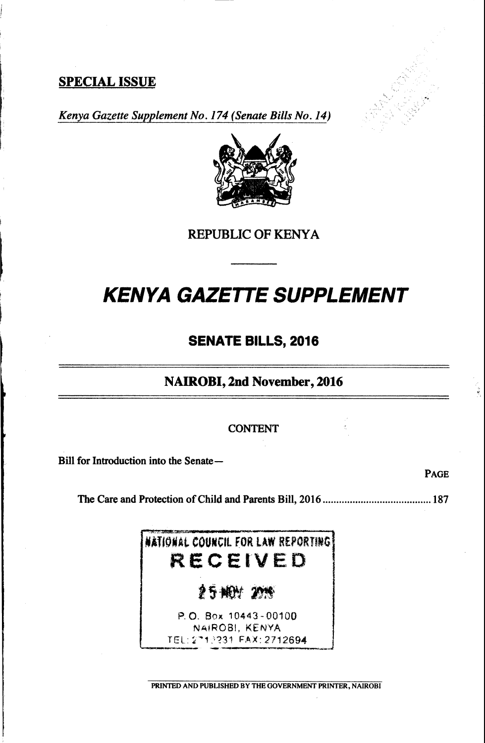## **SPECIAL ISSUE**



Kenya Gazette Supplement No. 174 (Senate Bills No. 14)



**REPUBLIC OF KENYA** 

# **KENYA GAZETTE SUPPLEMENT**

## **SENATE BILLS, 2016**

**NAIROBI, 2nd November, 2016** 

**CONTENT** 

Bill for Introduction into the Senate-

**NATIONAL COUNCIL FOR LAW REPORTING RECEIVED** 

25 NOV 2019

P.O. Box 10443-00100 NAIROBI, KENYA TEL: 271:231 FAX: 2712694

PRINTED AND PUBLISHED BY THE GOVERNMENT PRINTER, NAIROBI

**PAGE**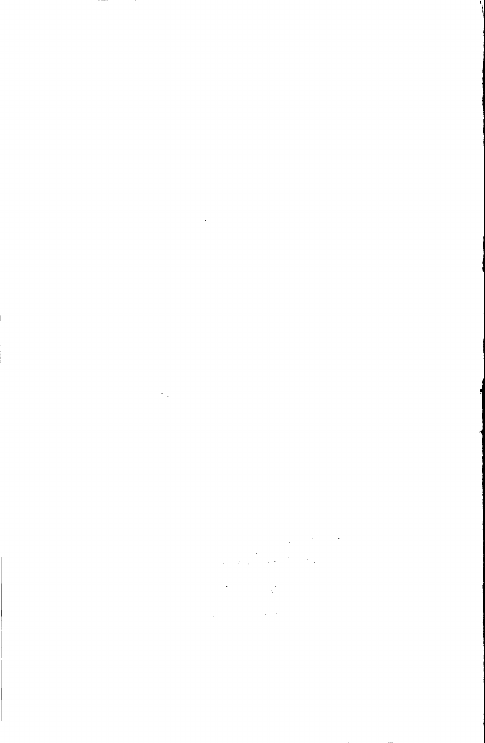$\mathcal{L}^{\text{max}}_{\text{max}}$  and  $\mathcal{L}^{\text{max}}_{\text{max}}$ 

 $\sim 20\,$  km s  $^{-1}$ 

 $\label{eq:2.1} \frac{1}{2} \left( \frac{1}{2} \left( \frac{1}{2} \right) \right) \left( \frac{1}{2} \left( \frac{1}{2} \right) \right) \left( \frac{1}{2} \left( \frac{1}{2} \right) \right) \left( \frac{1}{2} \right) \left( \frac{1}{2} \right) \left( \frac{1}{2} \right) \left( \frac{1}{2} \right) \left( \frac{1}{2} \right) \left( \frac{1}{2} \right) \left( \frac{1}{2} \right) \left( \frac{1}{2} \right) \left( \frac{1}{2} \right) \left( \frac{1}{2$  $\label{eq:2.1} \frac{1}{\sqrt{2\pi}}\int_{\mathbb{R}^3}\frac{1}{\sqrt{2\pi}}\int_{\mathbb{R}^3}\frac{1}{\sqrt{2\pi}}\int_{\mathbb{R}^3}\frac{1}{\sqrt{2\pi}}\int_{\mathbb{R}^3}\frac{1}{\sqrt{2\pi}}\int_{\mathbb{R}^3}\frac{1}{\sqrt{2\pi}}\frac{1}{\sqrt{2\pi}}\int_{\mathbb{R}^3}\frac{1}{\sqrt{2\pi}}\frac{1}{\sqrt{2\pi}}\frac{1}{\sqrt{2\pi}}\int_{\mathbb{R}^3}\frac{1}{\sqrt{2\pi}}\frac$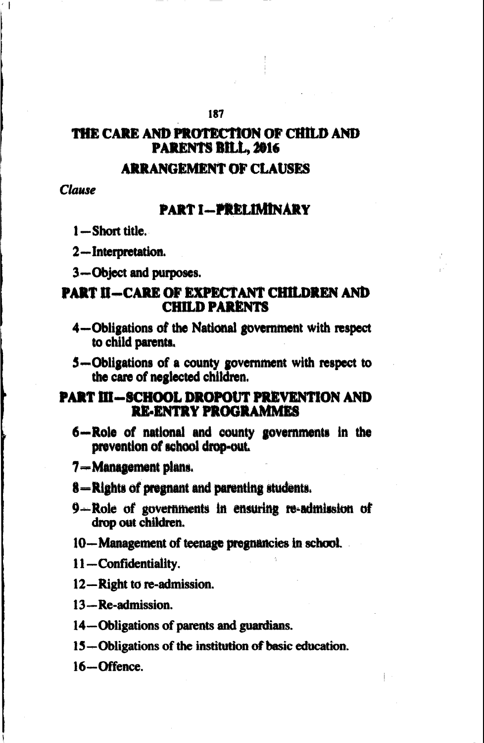# **THE CARE AND PROTECTION OF CHILD AND PARENTS BILL. 2016**

## **ARRANGEMENT OF CLAUSES**

**Clause** 

## **PART I-PRELIMINARY**

- 1-Short title.
- 2-Interpretation.
- 3-Object and purposes.

# **PART II-CARE OF EXPECTANT CHILDREN AND CHILD PARENTS**

- 4-Obligations of the National government with respect to child parents.
- 5-Obligations of a county government with respect to the care of neglected children.

# **PART III-SCHOOL DROPOUT PREVENTION AND RE-ENTRY PROGRAMMES**

- 6-Role of national and county governments in the prevention of school drop-out.
- 7-Management plans.
- 8-Rights of pregnant and parenting students.
- 9-Role of governments in ensuring re-admission of drop out children.
- 10-Management of teenage pregnancies in school.
- 11-Confidentiality.
- 12-Right to re-admission.
- 13-Re-admission.
- 14—Obligations of parents and guardians.
- 15 Obligations of the institution of basic education.
- $16 -$ Offence

187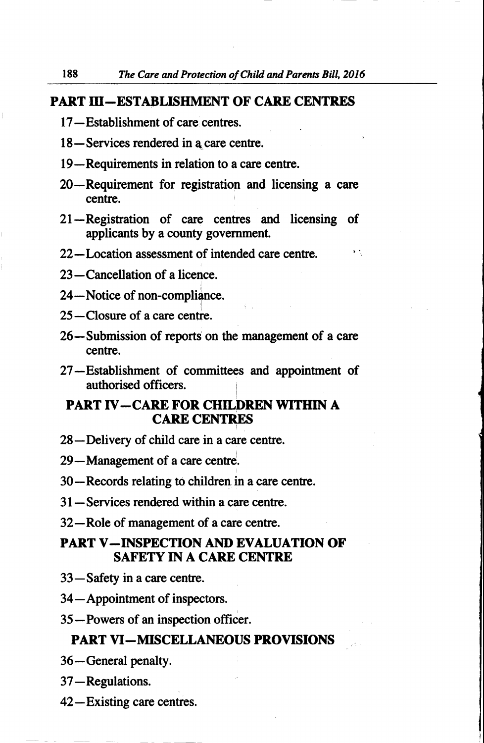## **PART III-ESTABLISHMENT OF CARE CENTRES**

17—Establishment of care centres.

188

- 18 Services rendered in a care centre.
- 19—Requirements in relation to a care centre.
- 20—Requirement for registration and licensing a care centre.
- 21-Registration of care centres and licensing of applicants by a county government.

×ή

- 22—Location assessment of intended care centre.
- 23 Cancellation of a licence.
- 24—Notice of non-compliance.
- 25—Closure of a care centre.
- 26—Submission of reports on the management of a care centre.
- 27-Establishment of committees and appointment of authorised officers.

### **PART IV-CARE FOR CHILDREN WITHIN A CARE CENTRES**

- 28—Delivery of child care in a care centre.
- 29—Management of a care centre.
- 30—Records relating to children in a care centre.
- 31—Services rendered within a care centre.
- 32—Role of management of a care centre.

#### **PART V-INSPECTION AND EVALUATION OF SAFETY IN A CARE CENTRE**

- 33—Safety in a care centre.
- 34—Appointment of inspectors.
- 35-Powers of an inspection officer.

#### **PART VI-MISCELLANEOUS PROVISIONS**

- 36 General penalty.
- 37-Regulations.
- 42—Existing care centres.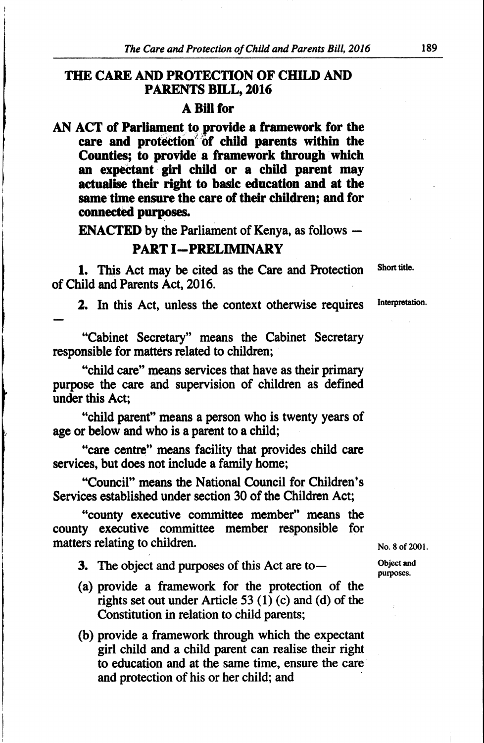## THE CARE AND PROTECTION OF CIIILD AND PARENTS BILL, 2016

### A Bill for

AN ACT of Parliament to provide a framework for the care and protection of child parents within the Counties; to provide a framework through which an expectant girl child or a child parent may actualise their right to basic education and at the same time ensure the care of their children; and for connected purposes.

ENACTED by the Parliament of Kenya, as follows -

# **PART I-PRELIMINARY**

l. This Act may be cited as the Care and Protection of Child and Parents Act, 2016.

\_ 2, In this Act, unless the context othenvise requires

"Cabinet Secretary" means the Cabinet Secretary responsible for matters related to children;

"child care" means services that have as their primary purpose the care and supervision of children as defined under this Act;

"child parent" means a person who is twenty years of age or below and who is a parent to a child;

"care centre" means facility that provides child care services, but does not include a family home;

"Council" means the National Council for Children's Services established under section 30 of the Children Act;

"county executive committee member" means the county executive eommittee member responsible for matters relating to children.

3. The object and purposes of this Act are to-

- (a) provide a framework for the protection of the rights set out under Article 53  $(1)$  (c) and (d) of the Constitution in relation to child parents;
- (b) provide a framework through which the expectant girl child and a child parent can realise their right to education and at the same time, ensure the care and protection of his or her child; and

No. 8 of 2001.

Object and purposes.

Interpretation.

Short title.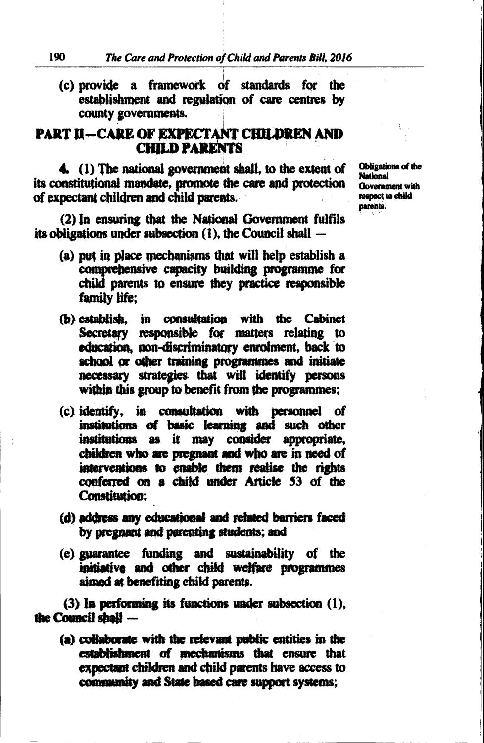(c) provide a framework of standards for the establishment and regulation of care centres by county governments.

## **PART II-CARE OF EXPECTANT CHILDREN AND CHILD PARENTS**

4. (1) The national government shall, to the extent of its constitutional mandate, promote the care and protection of expectant children and child parents.

(2) In ensuring that the National Government fulfils its obligations under subsection  $(1)$ , the Council shall  $-$ 

- (a) put in place mechanisms that will help establish a comprehensive capacity building programme for child parents to ensure they practice responsible family life:
- (b) establish, in consultation with the Cabinet Secretary responsible for matters relating to education, non-discriminatory enrolment, back to school or other training programmes and initiate necessary strategies that will identify persons within this group to benefit from the programmes;
- (c) identify, in consultation with personnel of institutions of basic learning and such other institutions as it may consider appropriate, children who are pregnant and who are in need of interventions to enable them realise the rights conferred on a child under Article 53 of the **Constitution:**
- (d) address any educational and related barriers faced by pregnant and parenting students; and
- (e) guarantee funding and sustainability of the initiative and other child welfare programmes aimed at benefiting child parents.

(3) In performing its functions under subsection (1), the Council shall -

(a) collaborate with the relevant public entities in the establishment of mechanisms that ensure that expectant children and child parents have access to community and State based care support systems;

Obligations of the **National Government** with respect to child parents.

190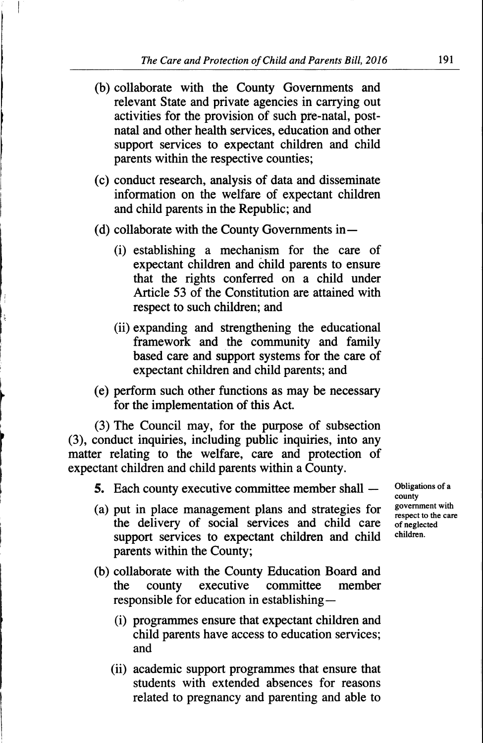- (b) collaborate with the County Governments and relevant State and private agencies in carrying out activities for the provision of such pre-natal, postnatal and other health services, education and other support services to expectant children and child parents within the respective counties;
- (c) conduct research, analysis of data and disseminate information on the welfare of expectant children and child parents in the Republic; and
- $(d)$  collaborate with the County Governments in-
	- (i) establishing a mechanism for the care of expectant children and child parents to ensure that the rights conferred on a child under Article 53 of the Constitution are attained with respect to such children; and
	- (ii) expanding and strengthening the educational framework and the community and family based care and support systems for the care of expectant children and child parents; and
- (e) perform such other functions as may be necessary for the implementation of this Act.

(3) The Council may, for the purpose of subsection (3), conduct inquiries, including public inquiries, into any matter relating to the welfare, care and protection of expectant children and child parents within a County.

- 5. Each county executive committee member shall
- (a) put in place management plans and strategies for the delivery of social services and child care support services to expectant children and child parents within the County;
- (b) collaborate with the County Education Board and the county executive committee member responsible for education in establishing-
	- (i) programmes ensure that expectant children and child parents have access to education services; and
	- (ii) academic support programmes that ensure that students with extended absences for reasons related to pregnancy and parenting and able to

Obligations of a county government with respect to the care of neglected children.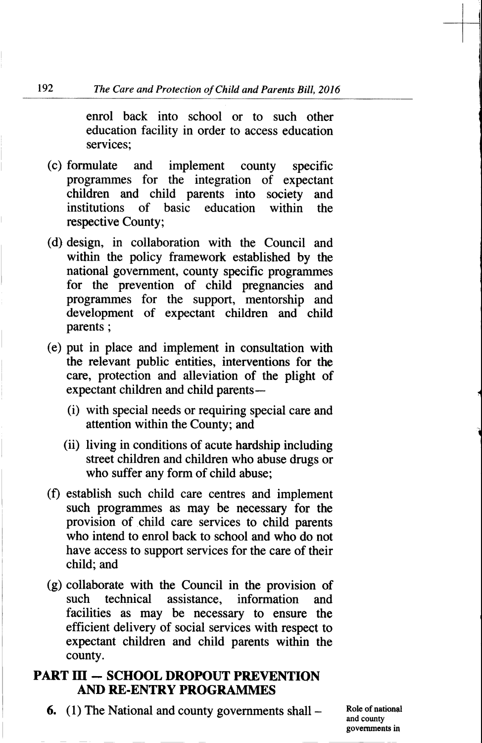enrol back into school or to such other education facility in order to access education services;

- (c) formulate and implement county specific prograrnmes for the integration of expectant children and child parents into society and<br>institutions of basic education within the institutions of basic education within the respective County;
- (d) design, in collaboration with the Council and within the policy framework established by the national government, county specific programmes for the prevention of child pregnancies and prograrnmes for the support, mentorship and development of expectant children and child parents ;
- (e) put in place and implement in consultation with the relevant public entities, interventions for the cane, protection and alleviation of the plight of expectant children and child parents-
	- (i) with special needs or requiring special care and attention within the County; and
	- (ii) living in conditions of acute hadship including street children and children who abuse drugs or who suffer any form of child abuse;
- (f) establish such child care centres and implement such programmes as may be necessary for the provision of child care services to child parents who intend to enrol back to school and who do not have access to support services for the care of their child; and
- (g) collaborate with the Council in the provision of such technical assistance, information and facilities as may be necessary to ensure the efficient delivery of social services with respect to expectant children and child parents within the county.

## PART III - SCHOOL DROPOUT PREVENTION AND RE.ENTRY PROGRAMMES

**6.** (1) The National and county governments shall  $-$  Role of national and county

governmonts in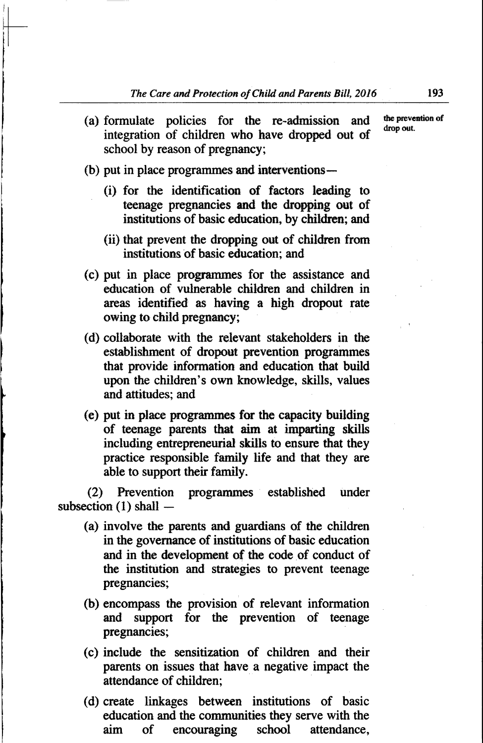- (a) formulate policies for the re-admission and integration of children who have dropped out of school by reason of pregnancy;
- (b) put in place programmes and interventions—
	- (i) for the identification of factors leading to teenage pregnancies and the dropping out of institutions of basic education, by children; and
	- (ii) that prevent the dropping out of children from institutions of basic education; and
- (c) put in place programmes for the assistance and education of vulnerable children and children in areas identified as having a high dropout rate owing to child pregnancy;
- (d) collaborate with the relevant stakeholders in the establishment of dropout prevention programmes that provide information and education that build upon the children's own knowledge, skills, values and attitudes: and
- (e) put in place programmes for the capacity building of teenage parents that aim at imparting skills including entrepreneurial skills to ensure that they practice responsible family life and that they are able to support their family.

 $(2)$ Prevention programmes established under subsection  $(1)$  shall  $-$ 

- (a) involve the parents and guardians of the children in the governance of institutions of basic education and in the development of the code of conduct of the institution and strategies to prevent teenage pregnancies;
- (b) encompass the provision of relevant information and support for the prevention of teenage pregnancies;
- (c) include the sensitization of children and their parents on issues that have a negative impact the attendance of children:
- (d) create linkages between institutions of basic education and the communities they serve with the aim of encouraging school attendance.

the prevention of

drop out.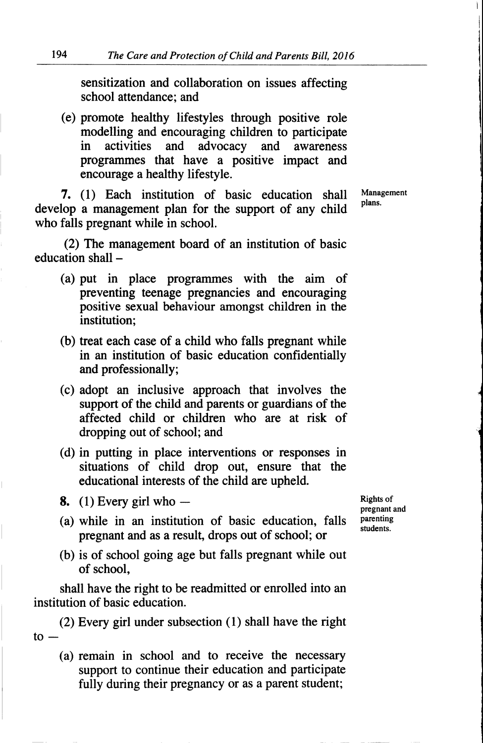sensitization and collaboration on issues affecting school attendance; and

(e) promote healthy lifestyles through positive role modelling and encouraging children to participate in activities and advocacy and awareness programmes that have a positive impact and encourage a healthy lifestyle.

7. (1) Each institution of basic education shall develop a management plan for the support of any child who falls pregnant while in school.

(2) The management board of an institution of basic  $education$  shall  $-$ 

- (a) put in place programmes with the aim of preventing teenage pregnancies and encouraging positive sexual behaviour amongst children in the institution;
- (b) treat each case of a child who falls pregnant while in an institution of basic education confidentially and professionally;
- (c) adopt an inclusive approach that involves the support of the child and parents or guardians of the affected child or children who are at risk of dropping out of school; and
- (d) in putting in place interventions or responses in situations of child drop out, ensure that the educational interests of the child are upheld.
- 8. (1) Every girl who  $-$
- (a) while in an institution of basic education, falls pregnant and as a result, drops out of school; or
- (b) is of school going age but falls pregnant while out of school,

shall have the right to be readmitted or enrolled into an institution of basic education.

(2) Every girl under subsection (1) shall have the right  $\mathsf{to}$   $-$ 

(a) remain in school and to receive the necessary support to continue their education and participate fully during their pregnancy or as a parent student;

Rights of pregnant and parenting students.

Management plans.